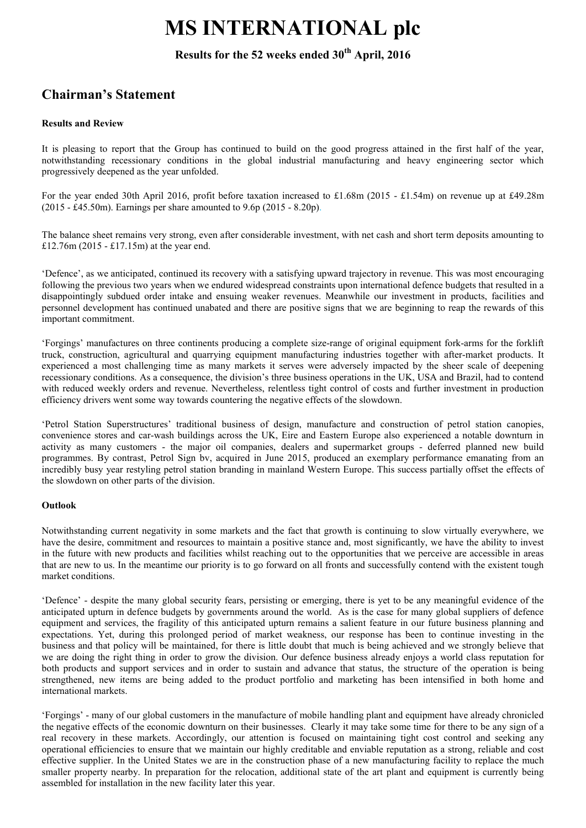# MS INTERNATIONAL plc

# Results for the 52 weeks ended 30<sup>th</sup> April, 2016

# Chairman's Statement

# Results and Review

It is pleasing to report that the Group has continued to build on the good progress attained in the first half of the year, notwithstanding recessionary conditions in the global industrial manufacturing and heavy engineering sector which progressively deepened as the year unfolded.

For the year ended 30th April 2016, profit before taxation increased to £1.68m (2015 - £1.54m) on revenue up at £49.28m (2015 - £45.50m). Earnings per share amounted to 9.6p (2015 - 8.20p).

The balance sheet remains very strong, even after considerable investment, with net cash and short term deposits amounting to £12.76m (2015 - £17.15m) at the year end.

'Defence', as we anticipated, continued its recovery with a satisfying upward trajectory in revenue. This was most encouraging following the previous two years when we endured widespread constraints upon international defence budgets that resulted in a disappointingly subdued order intake and ensuing weaker revenues. Meanwhile our investment in products, facilities and personnel development has continued unabated and there are positive signs that we are beginning to reap the rewards of this important commitment.

'Forgings' manufactures on three continents producing a complete size-range of original equipment fork-arms for the forklift truck, construction, agricultural and quarrying equipment manufacturing industries together with after-market products. It experienced a most challenging time as many markets it serves were adversely impacted by the sheer scale of deepening recessionary conditions. As a consequence, the division's three business operations in the UK, USA and Brazil, had to contend with reduced weekly orders and revenue. Nevertheless, relentless tight control of costs and further investment in production efficiency drivers went some way towards countering the negative effects of the slowdown.

'Petrol Station Superstructures' traditional business of design, manufacture and construction of petrol station canopies, convenience stores and car-wash buildings across the UK, Eire and Eastern Europe also experienced a notable downturn in activity as many customers - the major oil companies, dealers and supermarket groups - deferred planned new build programmes. By contrast, Petrol Sign bv, acquired in June 2015, produced an exemplary performance emanating from an incredibly busy year restyling petrol station branding in mainland Western Europe. This success partially offset the effects of the slowdown on other parts of the division.

## Outlook

Notwithstanding current negativity in some markets and the fact that growth is continuing to slow virtually everywhere, we have the desire, commitment and resources to maintain a positive stance and, most significantly, we have the ability to invest in the future with new products and facilities whilst reaching out to the opportunities that we perceive are accessible in areas that are new to us. In the meantime our priority is to go forward on all fronts and successfully contend with the existent tough market conditions.

'Defence' - despite the many global security fears, persisting or emerging, there is yet to be any meaningful evidence of the anticipated upturn in defence budgets by governments around the world. As is the case for many global suppliers of defence equipment and services, the fragility of this anticipated upturn remains a salient feature in our future business planning and expectations. Yet, during this prolonged period of market weakness, our response has been to continue investing in the business and that policy will be maintained, for there is little doubt that much is being achieved and we strongly believe that we are doing the right thing in order to grow the division. Our defence business already enjoys a world class reputation for both products and support services and in order to sustain and advance that status, the structure of the operation is being strengthened, new items are being added to the product portfolio and marketing has been intensified in both home and international markets.

'Forgings' - many of our global customers in the manufacture of mobile handling plant and equipment have already chronicled the negative effects of the economic downturn on their businesses. Clearly it may take some time for there to be any sign of a real recovery in these markets. Accordingly, our attention is focused on maintaining tight cost control and seeking any operational efficiencies to ensure that we maintain our highly creditable and enviable reputation as a strong, reliable and cost effective supplier. In the United States we are in the construction phase of a new manufacturing facility to replace the much smaller property nearby. In preparation for the relocation, additional state of the art plant and equipment is currently being assembled for installation in the new facility later this year.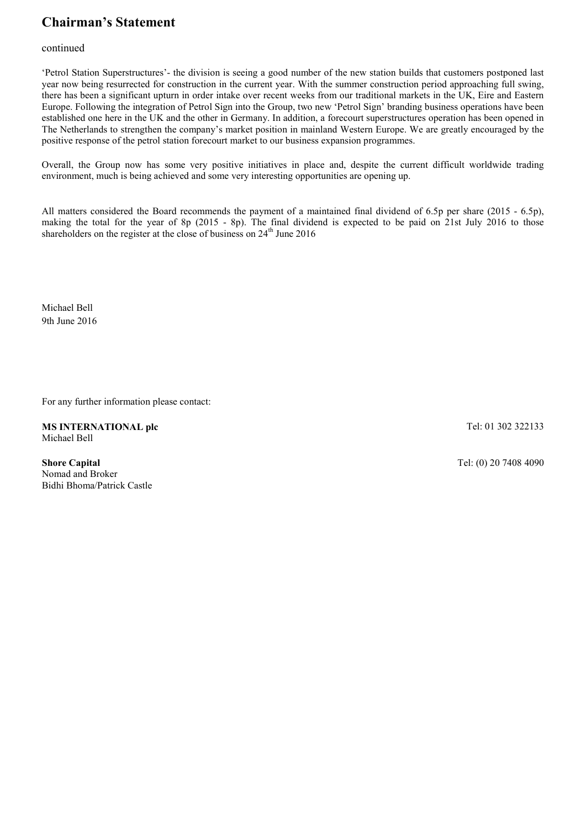# Chairman's Statement

# continued

'Petrol Station Superstructures'- the division is seeing a good number of the new station builds that customers postponed last year now being resurrected for construction in the current year. With the summer construction period approaching full swing, there has been a significant upturn in order intake over recent weeks from our traditional markets in the UK, Eire and Eastern Europe. Following the integration of Petrol Sign into the Group, two new 'Petrol Sign' branding business operations have been established one here in the UK and the other in Germany. In addition, a forecourt superstructures operation has been opened in The Netherlands to strengthen the company's market position in mainland Western Europe. We are greatly encouraged by the positive response of the petrol station forecourt market to our business expansion programmes.

Overall, the Group now has some very positive initiatives in place and, despite the current difficult worldwide trading environment, much is being achieved and some very interesting opportunities are opening up.

All matters considered the Board recommends the payment of a maintained final dividend of 6.5p per share (2015 - 6.5p), making the total for the year of 8p (2015 - 8p). The final dividend is expected to be paid on 21st July 2016 to those shareholders on the register at the close of business on  $24<sup>th</sup>$  June 2016

Michael Bell 9th June 2016

For any further information please contact:

MS INTERNATIONAL plc Michael Bell

Tel: 01 302 322133

Shore Capital Nomad and Broker Bidhi Bhoma/Patrick Castle Tel: (0) 20 7408 4090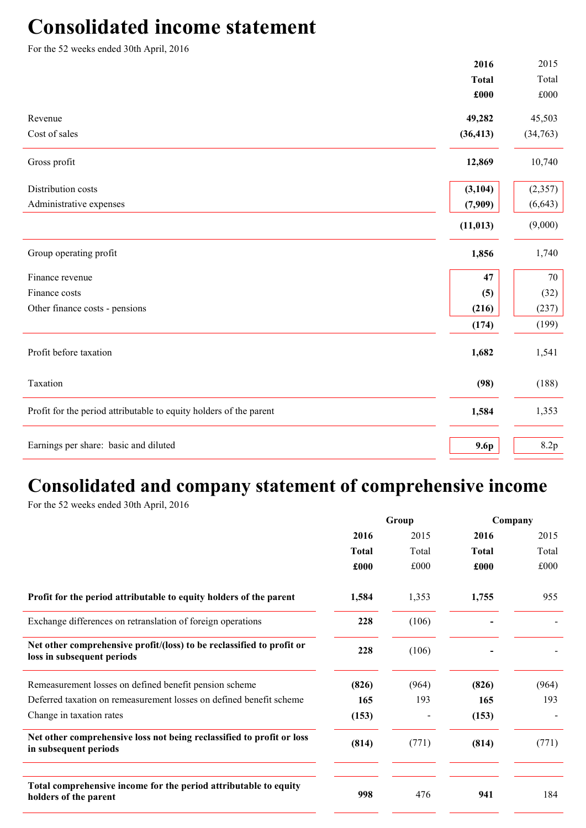# Consolidated income statement

For the 52 weeks ended 30th April, 2016

|                                                                    | 2016         | 2015     |
|--------------------------------------------------------------------|--------------|----------|
|                                                                    | <b>Total</b> | Total    |
|                                                                    | £000         | £000     |
| Revenue                                                            | 49,282       | 45,503   |
| Cost of sales                                                      | (36, 413)    | (34,763) |
| Gross profit                                                       | 12,869       | 10,740   |
| Distribution costs                                                 | (3, 104)     | (2,357)  |
| Administrative expenses                                            | (7,909)      | (6, 643) |
|                                                                    | (11, 013)    | (9,000)  |
| Group operating profit                                             | 1,856        | 1,740    |
| Finance revenue                                                    | 47           | 70       |
| Finance costs                                                      | (5)          | (32)     |
| Other finance costs - pensions                                     | (216)        | (237)    |
|                                                                    | (174)        | (199)    |
| Profit before taxation                                             | 1,682        | 1,541    |
| Taxation                                                           | (98)         | (188)    |
| Profit for the period attributable to equity holders of the parent | 1,584        | 1,353    |
| Earnings per share: basic and diluted                              | 9.6p         | 8.2p     |
|                                                                    |              |          |

# Consolidated and company statement of comprehensive income

For the 52 weeks ended 30th April, 2016

|                                                                                                     | Group        |       | Company      |       |
|-----------------------------------------------------------------------------------------------------|--------------|-------|--------------|-------|
|                                                                                                     | 2016         | 2015  | 2016         | 2015  |
|                                                                                                     | <b>Total</b> | Total | <b>Total</b> | Total |
|                                                                                                     | £000         | £000  | £000         | £000  |
| Profit for the period attributable to equity holders of the parent                                  | 1,584        | 1,353 | 1,755        | 955   |
| Exchange differences on retranslation of foreign operations                                         | 228          | (106) |              |       |
| Net other comprehensive profit/(loss) to be reclassified to profit or<br>loss in subsequent periods | 228          | (106) |              |       |
| Remeasurement losses on defined benefit pension scheme                                              | (826)        | (964) | (826)        | (964) |
| Deferred taxation on remeasurement losses on defined benefit scheme                                 | 165          | 193   | 165          | 193   |
| Change in taxation rates                                                                            | (153)        |       | (153)        |       |
| Net other comprehensive loss not being reclassified to profit or loss<br>in subsequent periods      | (814)        | (771) | (814)        | (771) |
|                                                                                                     |              |       |              |       |
| Total comprehensive income for the period attributable to equity<br>holders of the parent           | 998          | 476   | 941          | 184   |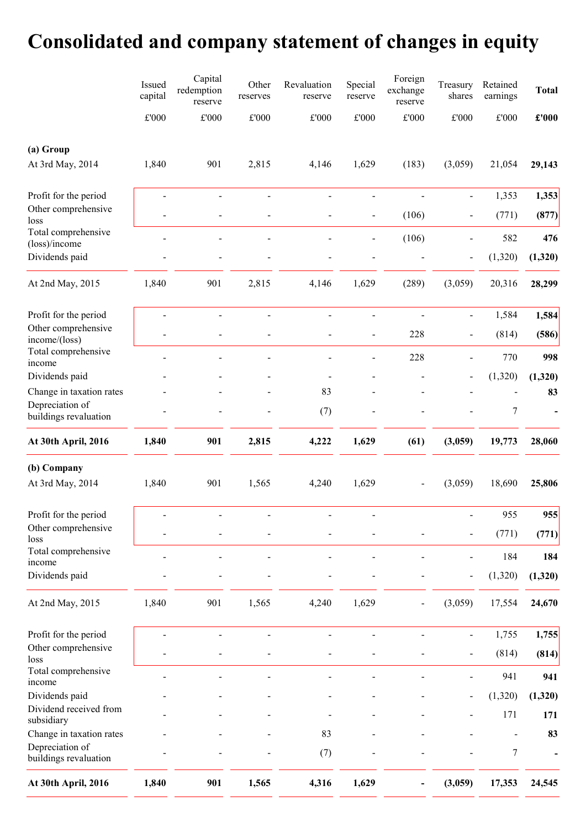# Consolidated and company statement of changes in equity

|                                          | Issued<br>capital | Capital<br>redemption<br>reserve | Other<br>reserves            | Revaluation<br>reserve   | Special<br>reserve           | Foreign<br>exchange<br>reserve | Treasury<br>shares           | Retained<br>earnings | <b>Total</b>   |
|------------------------------------------|-------------------|----------------------------------|------------------------------|--------------------------|------------------------------|--------------------------------|------------------------------|----------------------|----------------|
|                                          | $\pounds 000$     | $\pounds 000$                    | $\pounds 000$                | £'000                    | $\pounds 000$                | $\pounds 000$                  | $\pounds 000$                | $\pounds 000$        | $\pounds$ '000 |
| (a) Group                                |                   |                                  |                              |                          |                              |                                |                              |                      |                |
| At 3rd May, 2014                         | 1,840             | 901                              | 2,815                        | 4,146                    | 1,629                        | (183)                          | (3,059)                      | 21,054               | 29,143         |
| Profit for the period                    |                   | $\blacksquare$                   |                              |                          | $\blacksquare$               | $\overline{a}$                 | $\blacksquare$               | 1,353                | 1,353          |
| Other comprehensive<br>loss              |                   | ÷                                |                              |                          | $\qquad \qquad \blacksquare$ | (106)                          | $\qquad \qquad \blacksquare$ | (771)                | (877)          |
| Total comprehensive<br>(loss)/income     |                   |                                  |                              |                          |                              | (106)                          | $\qquad \qquad \blacksquare$ | 582                  | 476            |
| Dividends paid                           |                   |                                  |                              |                          |                              |                                | $\qquad \qquad \blacksquare$ | (1,320)              | (1,320)        |
| At 2nd May, 2015                         | 1,840             | 901                              | 2,815                        | 4,146                    | 1,629                        | (289)                          | (3,059)                      | 20,316               | 28,299         |
| Profit for the period                    |                   | $\blacksquare$                   |                              |                          | $\blacksquare$               |                                | $\qquad \qquad \blacksquare$ | 1,584                | 1,584          |
| Other comprehensive<br>income/(loss)     |                   |                                  |                              |                          | $\qquad \qquad \blacksquare$ | 228                            | $\qquad \qquad \blacksquare$ | (814)                | (586)          |
| Total comprehensive<br>income            |                   |                                  |                              | $\overline{\phantom{a}}$ | $\overline{\phantom{a}}$     | 228                            | $\blacksquare$               | 770                  | 998            |
| Dividends paid                           |                   |                                  |                              |                          |                              |                                | $\qquad \qquad \blacksquare$ | (1,320)              | (1,320)        |
| Change in taxation rates                 |                   |                                  |                              | 83                       |                              |                                |                              |                      | 83             |
| Depreciation of<br>buildings revaluation |                   |                                  |                              | (7)                      |                              |                                |                              | $\boldsymbol{7}$     |                |
| At 30th April, 2016                      | 1,840             | 901                              | 2,815                        | 4,222                    | 1,629                        | (61)                           | (3,059)                      | 19,773               | 28,060         |
| (b) Company                              |                   |                                  |                              |                          |                              |                                |                              |                      |                |
| At 3rd May, 2014                         | 1,840             | 901                              | 1,565                        | 4,240                    | 1,629                        |                                | (3,059)                      | 18,690               | 25,806         |
| Profit for the period                    |                   |                                  |                              |                          |                              |                                |                              | 955                  | 955            |
| Other comprehensive<br>loss              |                   |                                  |                              |                          |                              |                                | $\qquad \qquad \blacksquare$ | (771)                | (771)          |
| Total comprehensive<br>income            |                   |                                  |                              |                          |                              |                                | $\qquad \qquad \blacksquare$ | 184                  | 184            |
| Dividends paid                           |                   |                                  |                              |                          |                              |                                | $\qquad \qquad \blacksquare$ | (1,320)              | (1,320)        |
| At 2nd May, 2015                         | 1,840             | 901                              | 1,565                        | 4,240                    | 1,629                        |                                | (3,059)                      | 17,554               | 24,670         |
| Profit for the period                    | $\overline{a}$    | $\blacksquare$                   | $\qquad \qquad \blacksquare$ | $\blacksquare$           | $\blacksquare$               | $\qquad \qquad \blacksquare$   | $\blacksquare$               | 1,755                | 1,755          |
| Other comprehensive<br>loss              |                   |                                  |                              |                          |                              |                                | $\qquad \qquad \blacksquare$ | (814)                | (814)          |
| Total comprehensive<br>income            |                   |                                  |                              |                          |                              |                                |                              | 941                  | 941            |
| Dividends paid                           |                   |                                  |                              |                          |                              |                                | $\overline{a}$               | (1,320)              | (1,320)        |
| Dividend received from<br>subsidiary     |                   |                                  |                              |                          |                              |                                |                              | 171                  | 171            |
| Change in taxation rates                 |                   |                                  |                              | 83                       |                              |                                |                              |                      | 83             |
| Depreciation of<br>buildings revaluation |                   |                                  |                              | (7)                      |                              |                                |                              | 7                    |                |
| At 30th April, 2016                      | 1,840             | 901                              | 1,565                        | 4,316                    | 1,629                        |                                | (3,059)                      | 17,353               | 24,545         |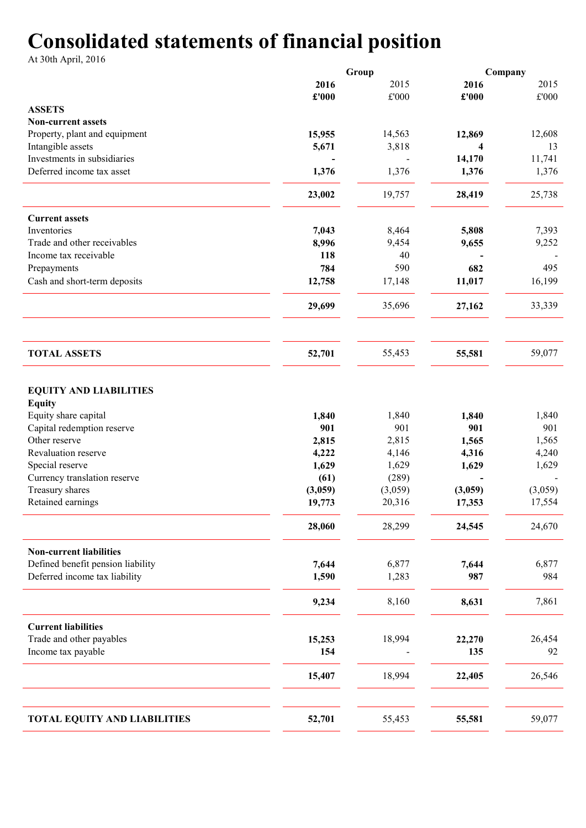# Consolidated statements of financial position

At 30th April, 2016

|                                                                                                                                                                                                                    |                                                            | Group                                                       |                                                    | Company                                            |
|--------------------------------------------------------------------------------------------------------------------------------------------------------------------------------------------------------------------|------------------------------------------------------------|-------------------------------------------------------------|----------------------------------------------------|----------------------------------------------------|
|                                                                                                                                                                                                                    | 2016                                                       | 2015                                                        | 2016                                               | 2015                                               |
|                                                                                                                                                                                                                    | £'000                                                      | $\pounds 000$                                               | £'000                                              | $\pounds 000$                                      |
| <b>ASSETS</b>                                                                                                                                                                                                      |                                                            |                                                             |                                                    |                                                    |
| <b>Non-current assets</b>                                                                                                                                                                                          |                                                            |                                                             |                                                    |                                                    |
| Property, plant and equipment                                                                                                                                                                                      | 15,955                                                     | 14,563                                                      | 12,869                                             | 12,608                                             |
| Intangible assets                                                                                                                                                                                                  | 5,671                                                      | 3,818                                                       | 4                                                  | 13                                                 |
| Investments in subsidiaries                                                                                                                                                                                        |                                                            |                                                             | 14,170                                             | 11,741                                             |
| Deferred income tax asset                                                                                                                                                                                          | 1,376                                                      | 1,376                                                       | 1,376                                              | 1,376                                              |
|                                                                                                                                                                                                                    | 23,002                                                     | 19,757                                                      | 28,419                                             | 25,738                                             |
| <b>Current assets</b>                                                                                                                                                                                              |                                                            |                                                             |                                                    |                                                    |
| Inventories                                                                                                                                                                                                        | 7,043                                                      | 8,464                                                       | 5,808                                              | 7,393                                              |
| Trade and other receivables                                                                                                                                                                                        | 8,996                                                      | 9,454                                                       | 9,655                                              | 9,252                                              |
| Income tax receivable                                                                                                                                                                                              | 118                                                        | 40                                                          |                                                    |                                                    |
| Prepayments                                                                                                                                                                                                        | 784                                                        | 590                                                         | 682                                                | 495                                                |
| Cash and short-term deposits                                                                                                                                                                                       | 12,758                                                     | 17,148                                                      | 11,017                                             | 16,199                                             |
|                                                                                                                                                                                                                    | 29,699                                                     | 35,696                                                      | 27,162                                             | 33,339                                             |
|                                                                                                                                                                                                                    |                                                            |                                                             |                                                    |                                                    |
| <b>TOTAL ASSETS</b>                                                                                                                                                                                                | 52,701                                                     | 55,453                                                      | 55,581                                             | 59,077                                             |
| <b>EQUITY AND LIABILITIES</b><br><b>Equity</b><br>Equity share capital<br>Capital redemption reserve<br>Other reserve<br>Revaluation reserve<br>Special reserve<br>Currency translation reserve<br>Treasury shares | 1,840<br>901<br>2,815<br>4,222<br>1,629<br>(61)<br>(3,059) | 1,840<br>901<br>2,815<br>4,146<br>1,629<br>(289)<br>(3,059) | 1,840<br>901<br>1,565<br>4,316<br>1,629<br>(3,059) | 1,840<br>901<br>1,565<br>4,240<br>1,629<br>(3,059) |
| Retained earnings                                                                                                                                                                                                  | 19,773                                                     | 20,316                                                      | 17,353                                             | 17,554                                             |
|                                                                                                                                                                                                                    | 28,060                                                     | 28,299                                                      | 24,545                                             | 24,670                                             |
| <b>Non-current liabilities</b><br>Defined benefit pension liability<br>Deferred income tax liability                                                                                                               | 7,644<br>1,590                                             | 6,877<br>1,283                                              | 7,644<br>987                                       | 6,877<br>984                                       |
|                                                                                                                                                                                                                    | 9,234                                                      | 8,160                                                       | 8,631                                              | 7,861                                              |
| <b>Current liabilities</b><br>Trade and other payables<br>Income tax payable                                                                                                                                       | 15,253<br>154<br>15,407                                    | 18,994<br>18,994                                            | 22,270<br>135<br>22,405                            | 26,454<br>92<br>26,546                             |
|                                                                                                                                                                                                                    |                                                            |                                                             |                                                    |                                                    |
| <b>TOTAL EQUITY AND LIABILITIES</b>                                                                                                                                                                                | 52,701                                                     | 55,453                                                      | 55,581                                             | 59,077                                             |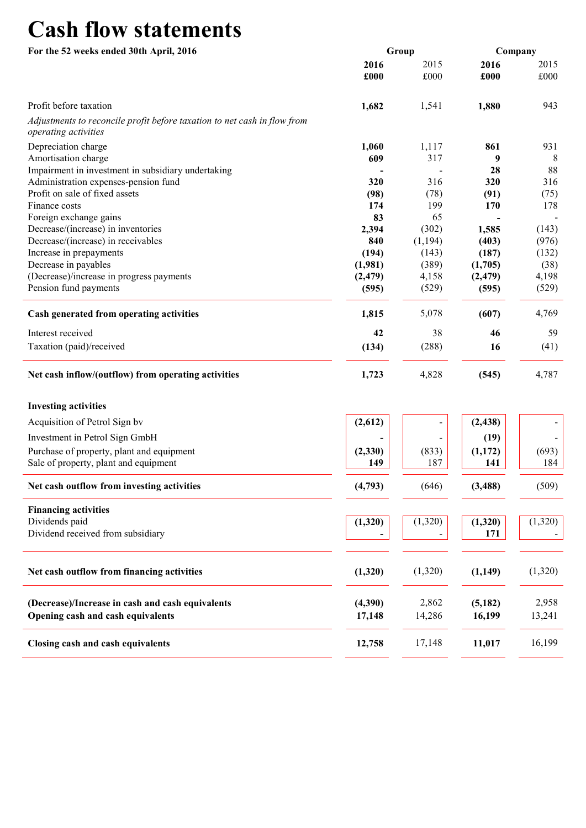# Cash flow statements

| For the 52 weeks ended 30th April, 2016                                                          |              | Group        | Company      |              |  |
|--------------------------------------------------------------------------------------------------|--------------|--------------|--------------|--------------|--|
|                                                                                                  | 2016<br>£000 | 2015<br>£000 | 2016<br>£000 | 2015<br>£000 |  |
| Profit before taxation                                                                           | 1,682        | 1,541        | 1,880        | 943          |  |
| Adjustments to reconcile profit before taxation to net cash in flow from<br>operating activities |              |              |              |              |  |
| Depreciation charge                                                                              | 1,060        | 1,117        | 861          | 931          |  |
| Amortisation charge                                                                              | 609          | 317          | 9            | 8            |  |
| Impairment in investment in subsidiary undertaking                                               |              |              | 28           | 88           |  |
| Administration expenses-pension fund                                                             | 320          | 316          | 320          | 316          |  |
| Profit on sale of fixed assets                                                                   | (98)         | (78)         | (91)         | (75)         |  |
| Finance costs                                                                                    | 174          | 199          | 170          | 178          |  |
| Foreign exchange gains                                                                           | 83           | 65           |              |              |  |
| Decrease/(increase) in inventories                                                               | 2,394        | (302)        | 1,585        | (143)        |  |
| Decrease/(increase) in receivables                                                               | 840          | (1, 194)     | (403)        | (976)        |  |
| Increase in prepayments                                                                          | (194)        | (143)        | (187)        | (132)        |  |
| Decrease in payables                                                                             | (1,981)      | (389)        | (1,705)      | (38)         |  |
| (Decrease)/increase in progress payments                                                         | (2, 479)     | 4,158        | (2, 479)     | 4,198        |  |
| Pension fund payments                                                                            | (595)        | (529)        | (595)        | (529)        |  |
| Cash generated from operating activities                                                         | 1,815        | 5,078        | (607)        | 4,769        |  |
| Interest received                                                                                | 42           | 38           | 46           | 59           |  |
| Taxation (paid)/received                                                                         | (134)        | (288)        | 16           | (41)         |  |
| Net cash inflow/(outflow) from operating activities                                              | 1,723        | 4,828        | (545)        | 4,787        |  |
| <b>Investing activities</b>                                                                      |              |              |              |              |  |
| Acquisition of Petrol Sign by                                                                    | (2,612)      |              | (2, 438)     |              |  |
| Investment in Petrol Sign GmbH                                                                   |              |              | (19)         |              |  |
| Purchase of property, plant and equipment                                                        | (2, 330)     | (833)        | (1,172)      | (693)        |  |
| Sale of property, plant and equipment                                                            | 149          | 187          | 141          | 184          |  |
| Net cash outflow from investing activities                                                       | (4,793)      | (646)        | (3, 488)     | (509)        |  |
| <b>Financing activities</b>                                                                      |              |              |              |              |  |
| Dividends paid                                                                                   | (1,320)      | (1,320)      | (1,320)      | (1,320)      |  |
| Dividend received from subsidiary                                                                |              |              | 171          |              |  |
| Net cash outflow from financing activities                                                       | (1,320)      | (1,320)      | (1,149)      | (1,320)      |  |
|                                                                                                  |              |              |              |              |  |
| (Decrease)/Increase in cash and cash equivalents                                                 | (4,390)      | 2,862        | (5,182)      | 2,958        |  |
| Opening cash and cash equivalents                                                                | 17,148       | 14,286       | 16,199       | 13,241       |  |
| Closing cash and cash equivalents                                                                | 12,758       | 17,148       | 11,017       | 16,199       |  |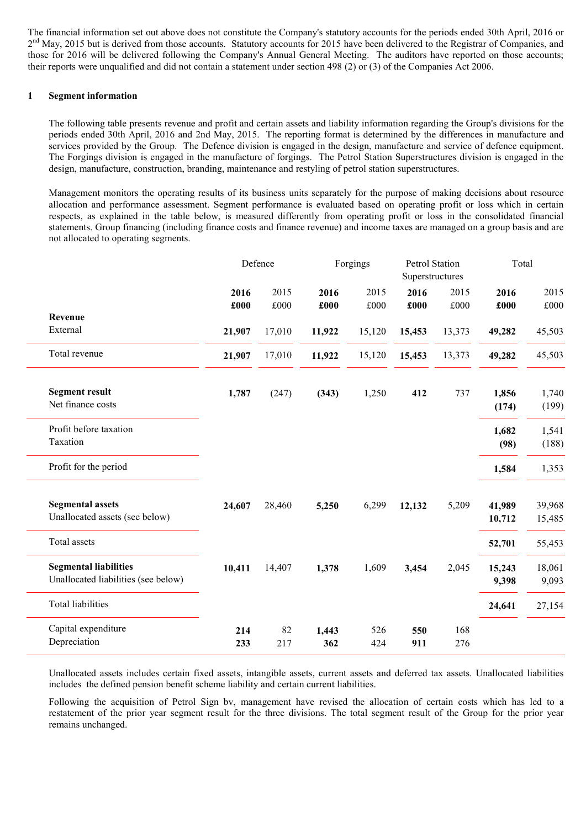The financial information set out above does not constitute the Company's statutory accounts for the periods ended 30th April, 2016 or 2<sup>nd</sup> May, 2015 but is derived from those accounts. Statutory accounts for 2015 have been delivered to the Registrar of Companies, and those for 2016 will be delivered following the Company's Annual General Meeting. The auditors have reported on those accounts; their reports were unqualified and did not contain a statement under section 498 (2) or (3) of the Companies Act 2006.

# 1 Segment information

The following table presents revenue and profit and certain assets and liability information regarding the Group's divisions for the periods ended 30th April, 2016 and 2nd May, 2015. The reporting format is determined by the differences in manufacture and services provided by the Group. The Defence division is engaged in the design, manufacture and service of defence equipment. The Forgings division is engaged in the manufacture of forgings. The Petrol Station Superstructures division is engaged in the design, manufacture, construction, branding, maintenance and restyling of petrol station superstructures.

Management monitors the operating results of its business units separately for the purpose of making decisions about resource allocation and performance assessment. Segment performance is evaluated based on operating profit or loss which in certain respects, as explained in the table below, is measured differently from operating profit or loss in the consolidated financial statements. Group financing (including finance costs and finance revenue) and income taxes are managed on a group basis and are not allocated to operating segments.

|                                                                     |              | Defence      | Forgings     |              | Petrol Station<br>Superstructures |              | Total            |                      |
|---------------------------------------------------------------------|--------------|--------------|--------------|--------------|-----------------------------------|--------------|------------------|----------------------|
|                                                                     | 2016<br>£000 | 2015<br>£000 | 2016<br>£000 | 2015<br>£000 | 2016<br>£000                      | 2015<br>£000 | 2016<br>£000     | 2015<br>$\pounds000$ |
| Revenue                                                             |              |              |              |              |                                   |              |                  |                      |
| External                                                            | 21,907       | 17,010       | 11,922       | 15,120       | 15,453                            | 13,373       | 49,282           | 45,503               |
| Total revenue                                                       | 21,907       | 17,010       | 11,922       | 15,120       | 15,453                            | 13,373       | 49,282           | 45,503               |
| <b>Segment result</b><br>Net finance costs                          | 1,787        | (247)        | (343)        | 1,250        | 412                               | 737          | 1,856<br>(174)   | 1,740<br>(199)       |
| Profit before taxation<br>Taxation                                  |              |              |              |              |                                   |              | 1,682<br>(98)    | 1,541<br>(188)       |
| Profit for the period                                               |              |              |              |              |                                   |              | 1,584            | 1,353                |
| <b>Segmental assets</b><br>Unallocated assets (see below)           | 24,607       | 28,460       | 5,250        | 6,299        | 12,132                            | 5,209        | 41,989<br>10,712 | 39,968<br>15,485     |
| Total assets                                                        |              |              |              |              |                                   |              | 52,701           | 55,453               |
| <b>Segmental liabilities</b><br>Unallocated liabilities (see below) | 10,411       | 14,407       | 1,378        | 1,609        | 3,454                             | 2,045        | 15,243<br>9,398  | 18,061<br>9,093      |
| <b>Total liabilities</b>                                            |              |              |              |              |                                   |              | 24,641           | 27,154               |
| Capital expenditure<br>Depreciation                                 | 214<br>233   | 82<br>217    | 1,443<br>362 | 526<br>424   | 550<br>911                        | 168<br>276   |                  |                      |

Unallocated assets includes certain fixed assets, intangible assets, current assets and deferred tax assets. Unallocated liabilities includes the defined pension benefit scheme liability and certain current liabilities.

Following the acquisition of Petrol Sign bv, management have revised the allocation of certain costs which has led to a restatement of the prior year segment result for the three divisions. The total segment result of the Group for the prior year remains unchanged.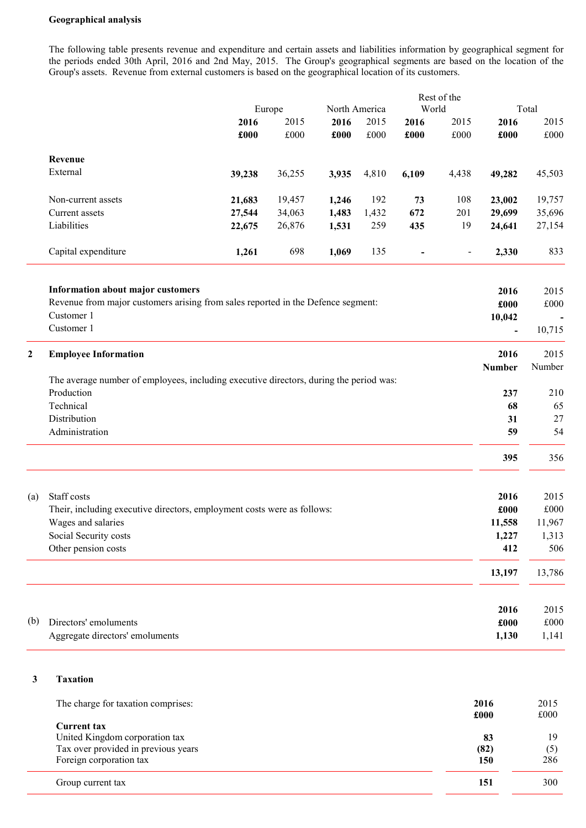### Geographical analysis

The following table presents revenue and expenditure and certain assets and liabilities information by geographical segment for the periods ended 30th April, 2016 and 2nd May, 2015. The Group's geographical segments are based on the location of the Group's assets. Revenue from external customers is based on the geographical location of its customers.

|     |                                                                                        |        | Europe |       | Rest of the<br>World<br>North America |                          |                | Total         |              |  |
|-----|----------------------------------------------------------------------------------------|--------|--------|-------|---------------------------------------|--------------------------|----------------|---------------|--------------|--|
|     |                                                                                        | 2016   | 2015   | 2016  | 2015                                  |                          | 2015           | 2016          | 2015         |  |
|     |                                                                                        | £000   | £000   | £000  | £000                                  | 2016<br>£000             | £000           | £000          | £000         |  |
|     | Revenue                                                                                |        |        |       |                                       |                          |                |               |              |  |
|     | External                                                                               | 39,238 | 36,255 | 3,935 | 4,810                                 | 6,109                    | 4,438          | 49,282        | 45,503       |  |
|     | Non-current assets                                                                     | 21,683 | 19,457 | 1,246 | 192                                   | 73                       | 108            | 23,002        | 19,757       |  |
|     | Current assets                                                                         | 27,544 | 34,063 | 1,483 | 1,432                                 | 672                      | 201            | 29,699        | 35,696       |  |
|     | Liabilities                                                                            | 22,675 | 26,876 | 1,531 | 259                                   | 435                      | 19             | 24,641        | 27,154       |  |
|     | Capital expenditure                                                                    | 1,261  | 698    | 1,069 | 135                                   | $\overline{\phantom{a}}$ | $\blacksquare$ | 2,330         | 833          |  |
|     | <b>Information about major customers</b>                                               |        |        |       |                                       |                          |                | 2016          | 2015         |  |
|     | Revenue from major customers arising from sales reported in the Defence segment:       |        |        |       |                                       |                          |                | £000          | $\pounds000$ |  |
|     | Customer 1                                                                             |        |        |       |                                       |                          |                | 10,042        |              |  |
|     | Customer 1                                                                             |        |        |       |                                       |                          |                | $\frac{1}{2}$ | 10,715       |  |
| 2   | <b>Employee Information</b>                                                            |        |        |       |                                       |                          |                | 2016          | 2015         |  |
|     | The average number of employees, including executive directors, during the period was: |        |        |       |                                       |                          |                | <b>Number</b> | Number       |  |
|     | Production                                                                             |        |        |       |                                       |                          |                | 237           | 210          |  |
|     | Technical                                                                              |        |        |       |                                       |                          |                | 68            | 65           |  |
|     | Distribution                                                                           |        |        |       |                                       |                          |                | 31            | 27           |  |
|     | Administration                                                                         |        |        |       |                                       |                          |                | 59            | 54           |  |
|     |                                                                                        |        |        |       |                                       |                          |                | 395           | 356          |  |
|     |                                                                                        |        |        |       |                                       |                          |                |               |              |  |
| (a) | Staff costs                                                                            |        |        |       |                                       |                          |                | 2016          | 2015         |  |
|     | Their, including executive directors, employment costs were as follows:                |        |        |       |                                       |                          |                | £000          | £000         |  |
|     | Wages and salaries                                                                     |        |        |       |                                       |                          |                | 11,558        | 11,967       |  |
|     | Social Security costs                                                                  |        |        |       |                                       |                          |                | 1,227         | 1,313        |  |
|     | Other pension costs                                                                    |        |        |       |                                       |                          |                | 412           | 506          |  |
|     |                                                                                        |        |        |       |                                       |                          |                | 13,197        | 13,786       |  |
|     |                                                                                        |        |        |       |                                       |                          |                | 2016          | 2015         |  |
| (b) | Directors' emoluments                                                                  |        |        |       |                                       |                          |                | £000          | £000         |  |
|     | Aggregate directors' emoluments                                                        |        |        |       |                                       |                          |                | 1,130         | 1,141        |  |

# 3 Taxation

| The charge for taxation comprises:                                                                                     | 2016<br>£000      | 2015<br>£000     |
|------------------------------------------------------------------------------------------------------------------------|-------------------|------------------|
| <b>Current tax</b><br>United Kingdom corporation tax<br>Tax over provided in previous years<br>Foreign corporation tax | 83<br>(82)<br>150 | 19<br>(5)<br>286 |
| Group current tax                                                                                                      | 151               | 300              |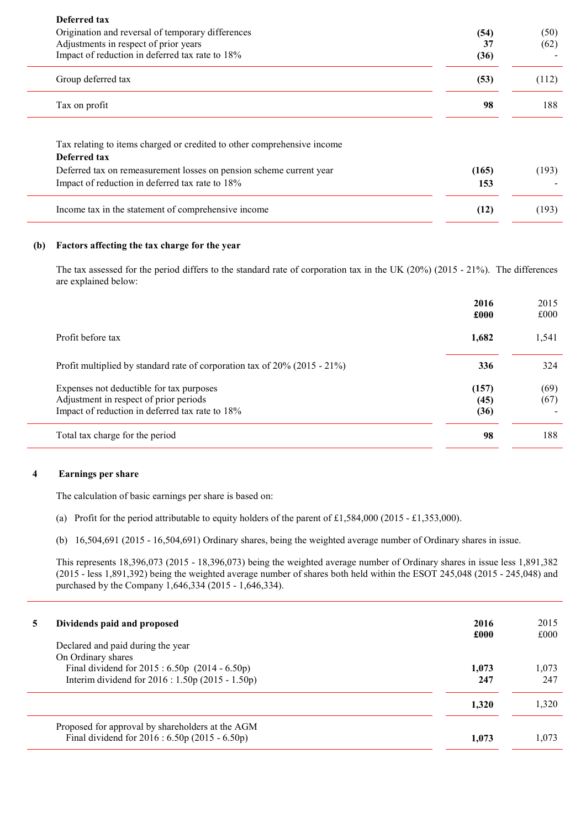| Deferred tax<br>Origination and reversal of temporary differences<br>Adjustments in respect of prior years<br>Impact of reduction in deferred tax rate to 18%                                                     | (54)<br>37<br>(36) | (50)<br>(62) |
|-------------------------------------------------------------------------------------------------------------------------------------------------------------------------------------------------------------------|--------------------|--------------|
| Group deferred tax                                                                                                                                                                                                | (53)               | (112)        |
| Tax on profit                                                                                                                                                                                                     | 98                 | 188          |
| Tax relating to items charged or credited to other comprehensive income<br>Deferred tax<br>Deferred tax on remeasurement losses on pension scheme current year<br>Impact of reduction in deferred tax rate to 18% | (165)<br>153       | (193)        |
| Income tax in the statement of comprehensive income                                                                                                                                                               | (12)               | (193)        |

# (b) Factors affecting the tax charge for the year

The tax assessed for the period differs to the standard rate of corporation tax in the UK (20%) (2015 - 21%). The differences are explained below:

|                                                                                                                                       | 2016<br>£000          | 2015<br>£000 |
|---------------------------------------------------------------------------------------------------------------------------------------|-----------------------|--------------|
| Profit before tax                                                                                                                     | 1,682                 | 1,541        |
| Profit multiplied by standard rate of corporation tax of $20\%$ (2015 - 21%)                                                          | 336                   | 324          |
| Expenses not deductible for tax purposes<br>Adjustment in respect of prior periods<br>Impact of reduction in deferred tax rate to 18% | (157)<br>(45)<br>(36) | (69)<br>(67) |
| Total tax charge for the period                                                                                                       | 98                    | 188          |

## 4 Earnings per share

The calculation of basic earnings per share is based on:

- (a) Profit for the period attributable to equity holders of the parent of £1,584,000 (2015 £1,353,000).
- (b) 16,504,691 (2015 16,504,691) Ordinary shares, being the weighted average number of Ordinary shares in issue.

This represents 18,396,073 (2015 - 18,396,073) being the weighted average number of Ordinary shares in issue less 1,891,382 (2015 - less 1,891,392) being the weighted average number of shares both held within the ESOT 245,048 (2015 - 245,048) and purchased by the Company 1,646,334 (2015 - 1,646,334).

| 5. | Dividends paid and proposed<br>Declared and paid during the year                                                           | 2016<br>£000 | 2015<br>£000 |
|----|----------------------------------------------------------------------------------------------------------------------------|--------------|--------------|
|    | On Ordinary shares<br>Final dividend for $2015 : 6.50p$ (2014 - 6.50p)<br>Interim dividend for 2016 : 1.50p (2015 - 1.50p) | 1.073<br>247 | 1,073<br>247 |
|    |                                                                                                                            | 1,320        | 1,320        |
|    | Proposed for approval by shareholders at the AGM<br>Final dividend for $2016 : 6.50p(2015 - 6.50p)$                        | 1.073        | 1,073        |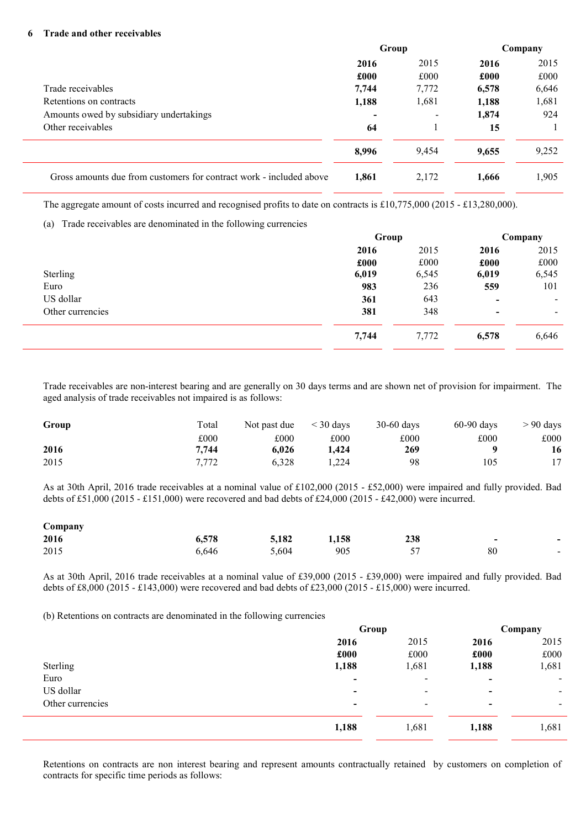### 6 Trade and other receivables

|                                                                     | Group |                          | Company |       |
|---------------------------------------------------------------------|-------|--------------------------|---------|-------|
|                                                                     | 2016  | 2015                     | 2016    | 2015  |
|                                                                     | £000  | £000                     | £000    | £000  |
| Trade receivables                                                   | 7,744 | 7,772                    | 6,578   | 6,646 |
| Retentions on contracts                                             | 1,188 | 1,681                    | 1,188   | 1,681 |
| Amounts owed by subsidiary undertakings                             |       | $\overline{\phantom{0}}$ | 1,874   | 924   |
| Other receivables                                                   | 64    |                          | 15      |       |
|                                                                     | 8,996 | 9,454                    | 9,655   | 9,252 |
| Gross amounts due from customers for contract work - included above | 1.861 | 2,172                    | 1,666   | 1,905 |
|                                                                     |       |                          |         |       |

The aggregate amount of costs incurred and recognised profits to date on contracts is £10,775,000 (2015 - £13,280,000).

## (a) Trade receivables are denominated in the following currencies

|                  | Group |       | Company                  |                          |
|------------------|-------|-------|--------------------------|--------------------------|
|                  | 2016  | 2015  | 2016                     | 2015                     |
|                  | £000  | £000  | £000                     | £000                     |
| Sterling         | 6,019 | 6,545 | 6,019                    | 6,545                    |
| Euro             | 983   | 236   | 559                      | 101                      |
| US dollar        | 361   | 643   | $\overline{\phantom{a}}$ | $\overline{\phantom{a}}$ |
| Other currencies | 381   | 348   | $\overline{\phantom{a}}$ | $\blacksquare$           |
|                  | 7,744 | 7,772 | 6,578                    | 6,646                    |

Trade receivables are non-interest bearing and are generally on 30 days terms and are shown net of provision for impairment. The aged analysis of trade receivables not impaired is as follows:

| Group | Total | Not past due | $\leq$ 30 days | $30-60$ days | $60-90$ days | $> 90$ days |
|-------|-------|--------------|----------------|--------------|--------------|-------------|
|       | £000  | £000         | £000           | £000         | £000         | £000        |
| 2016  | 7.744 | 6.026        | 1.424          | 269          |              | 16          |
| 2015  | 7.772 | 6.328        | .224           | 98           | 105          |             |

As at 30th April, 2016 trade receivables at a nominal value of £102,000 (2015 - £52,000) were impaired and fully provided. Bad debts of £51,000 (2015 - £151,000) were recovered and bad debts of £24,000 (2015 - £42,000) were incurred.

| Company |       |       |       |                    |                          |                          |
|---------|-------|-------|-------|--------------------|--------------------------|--------------------------|
| 2016    | 6.578 | 5.182 | 1,158 | 238                | $\overline{\phantom{0}}$ | $\overline{\phantom{0}}$ |
| 2015    | 6,646 | 5,604 | 905   | 57<br>$\checkmark$ | 80                       | $\overline{\phantom{a}}$ |

As at 30th April, 2016 trade receivables at a nominal value of £39,000 (2015 - £39,000) were impaired and fully provided. Bad debts of £8,000 (2015 - £143,000) were recovered and bad debts of £23,000 (2015 - £15,000) were incurred.

(b) Retentions on contracts are denominated in the following currencies

|                  | Group                    |                          | Company                  |                |
|------------------|--------------------------|--------------------------|--------------------------|----------------|
|                  | 2016                     | 2015                     | 2016                     | 2015           |
|                  | £000                     | £000                     | £000                     | £000           |
| Sterling         | 1,188                    | 1,681                    | 1,188                    | 1,681          |
| Euro             | $\overline{\phantom{a}}$ | $\overline{\phantom{a}}$ | $\blacksquare$           | $\blacksquare$ |
| US dollar        | $\overline{\phantom{0}}$ | $\overline{\phantom{a}}$ | $\overline{\phantom{0}}$ | $\blacksquare$ |
| Other currencies | $\overline{\phantom{0}}$ | $\overline{\phantom{a}}$ | $\overline{\phantom{0}}$ | $\blacksquare$ |
|                  | 1,188                    | 1,681                    | 1,188                    | 1,681          |

Retentions on contracts are non interest bearing and represent amounts contractually retained by customers on completion of contracts for specific time periods as follows: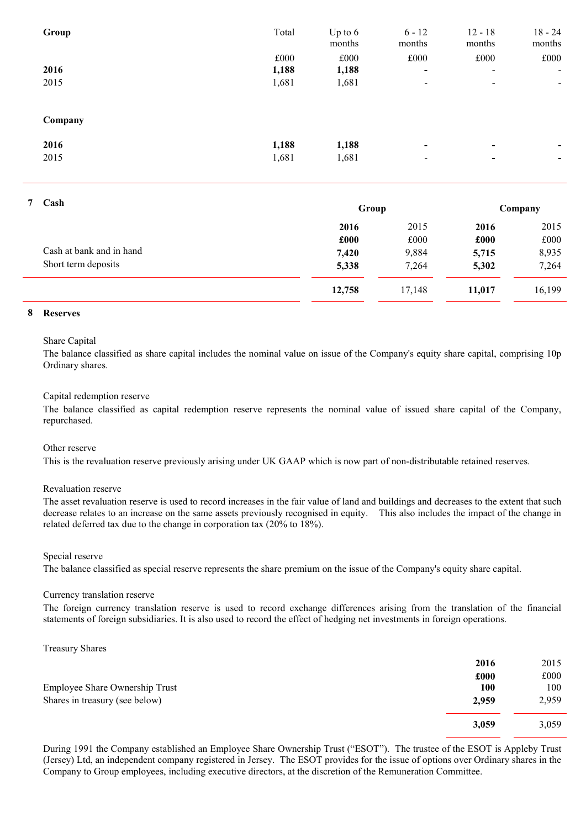| Group   | Total | Up to $6$<br>months | $6 - 12$<br>months       | $12 - 18$<br>months      | $18 - 24$<br>months |
|---------|-------|---------------------|--------------------------|--------------------------|---------------------|
|         | £000  | £000                | £000                     | £000                     | £000                |
| 2016    | 1,188 | 1,188               | $\overline{\phantom{a}}$ | $\blacksquare$           | $\blacksquare$      |
| 2015    | 1,681 | 1,681               | $\overline{\phantom{a}}$ | $\overline{\phantom{a}}$ | $\blacksquare$      |
| Company |       |                     |                          |                          |                     |
| 2016    | 1,188 | 1,188               | $\overline{\phantom{a}}$ | $\overline{\phantom{0}}$ | ۰.                  |
| 2015    | 1,681 | 1,681               | $\overline{\phantom{a}}$ | $\,$                     | -                   |
|         |       |                     |                          |                          |                     |

| Cash<br>7 |                          |        | Group  |        | Company |  |
|-----------|--------------------------|--------|--------|--------|---------|--|
|           |                          | 2016   | 2015   | 2016   | 2015    |  |
|           |                          | £000   | £000   | £000   | £000    |  |
|           | Cash at bank and in hand | 7,420  | 9,884  | 5,715  | 8,935   |  |
|           | Short term deposits      | 5,338  | 7,264  | 5,302  | 7,264   |  |
|           |                          | 12,758 | 17,148 | 11,017 | 16,199  |  |

### 8 Reserves

# Share Capital

The balance classified as share capital includes the nominal value on issue of the Company's equity share capital, comprising 10p Ordinary shares.

## Capital redemption reserve

The balance classified as capital redemption reserve represents the nominal value of issued share capital of the Company, repurchased.

### Other reserve

This is the revaluation reserve previously arising under UK GAAP which is now part of non-distributable retained reserves.

# Revaluation reserve

The asset revaluation reserve is used to record increases in the fair value of land and buildings and decreases to the extent that such decrease relates to an increase on the same assets previously recognised in equity. This also includes the impact of the change in related deferred tax due to the change in corporation tax (20% to 18%).

#### Special reserve

The balance classified as special reserve represents the share premium on the issue of the Company's equity share capital.

#### Currency translation reserve

The foreign currency translation reserve is used to record exchange differences arising from the translation of the financial statements of foreign subsidiaries. It is also used to record the effect of hedging net investments in foreign operations.

Treasury Shares

| 2016  | 2015  |
|-------|-------|
| £000  | £000  |
| 100   | 100   |
| 2,959 | 2,959 |
| 3,059 | 3,059 |
|       |       |

During 1991 the Company established an Employee Share Ownership Trust ("ESOT"). The trustee of the ESOT is Appleby Trust (Jersey) Ltd, an independent company registered in Jersey. The ESOT provides for the issue of options over Ordinary shares in the Company to Group employees, including executive directors, at the discretion of the Remuneration Committee.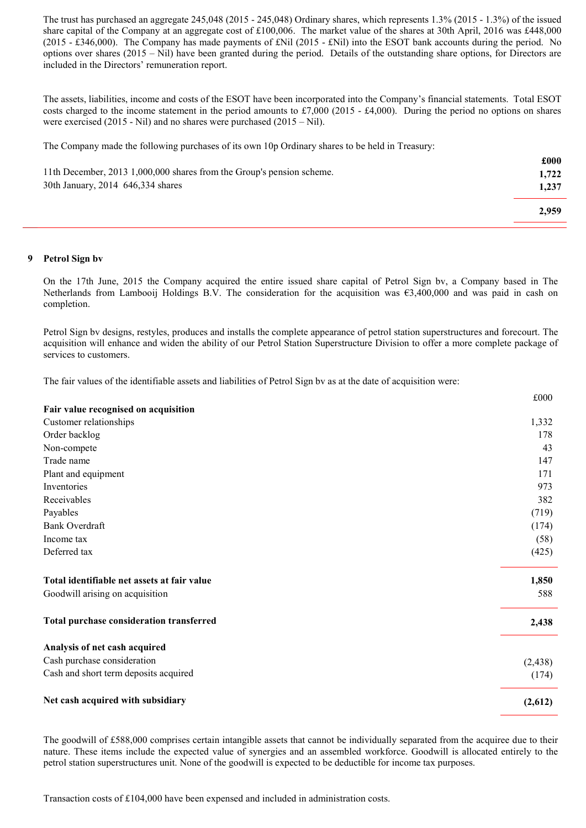The trust has purchased an aggregate 245,048 (2015 - 245,048) Ordinary shares, which represents 1.3% (2015 - 1.3%) of the issued share capital of the Company at an aggregate cost of £100,006. The market value of the shares at 30th April, 2016 was £448,000 (2015 - £346,000). The Company has made payments of £Nil (2015 - £Nil) into the ESOT bank accounts during the period. No options over shares (2015 – Nil) have been granted during the period. Details of the outstanding share options, for Directors are included in the Directors' remuneration report.

The assets, liabilities, income and costs of the ESOT have been incorporated into the Company's financial statements. Total ESOT costs charged to the income statement in the period amounts to £7,000 (2015 - £4,000). During the period no options on shares were exercised (2015 - Nil) and no shares were purchased (2015 – Nil).

The Company made the following purchases of its own 10p Ordinary shares to be held in Treasury:

| 11th December, 2013 1,000,000 shares from the Group's pension scheme. | £000<br>1.722 |
|-----------------------------------------------------------------------|---------------|
| 30th January, 2014 646, 334 shares                                    | 1,237         |
|                                                                       | 2,959         |

### 9 Petrol Sign bv

On the 17th June, 2015 the Company acquired the entire issued share capital of Petrol Sign bv, a Company based in The Netherlands from Lambooij Holdings B.V. The consideration for the acquisition was  $\epsilon$ 3,400,000 and was paid in cash on completion.

Petrol Sign bv designs, restyles, produces and installs the complete appearance of petrol station superstructures and forecourt. The acquisition will enhance and widen the ability of our Petrol Station Superstructure Division to offer a more complete package of services to customers.

The fair values of the identifiable assets and liabilities of Petrol Sign bv as at the date of acquisition were:

|                                             | £000     |
|---------------------------------------------|----------|
| Fair value recognised on acquisition        |          |
| Customer relationships                      | 1,332    |
| Order backlog                               | 178      |
| Non-compete                                 | 43       |
| Trade name                                  | 147      |
| Plant and equipment                         | 171      |
| Inventories                                 | 973      |
| Receivables                                 | 382      |
| Payables                                    | (719)    |
| <b>Bank Overdraft</b>                       | (174)    |
| Income tax                                  | (58)     |
| Deferred tax                                | (425)    |
| Total identifiable net assets at fair value | 1,850    |
| Goodwill arising on acquisition             | 588      |
| Total purchase consideration transferred    | 2,438    |
| Analysis of net cash acquired               |          |
| Cash purchase consideration                 | (2, 438) |
| Cash and short term deposits acquired       | (174)    |
| Net cash acquired with subsidiary           | (2,612)  |

The goodwill of £588,000 comprises certain intangible assets that cannot be individually separated from the acquiree due to their nature. These items include the expected value of synergies and an assembled workforce. Goodwill is allocated entirely to the petrol station superstructures unit. None of the goodwill is expected to be deductible for income tax purposes.

Transaction costs of £104,000 have been expensed and included in administration costs.